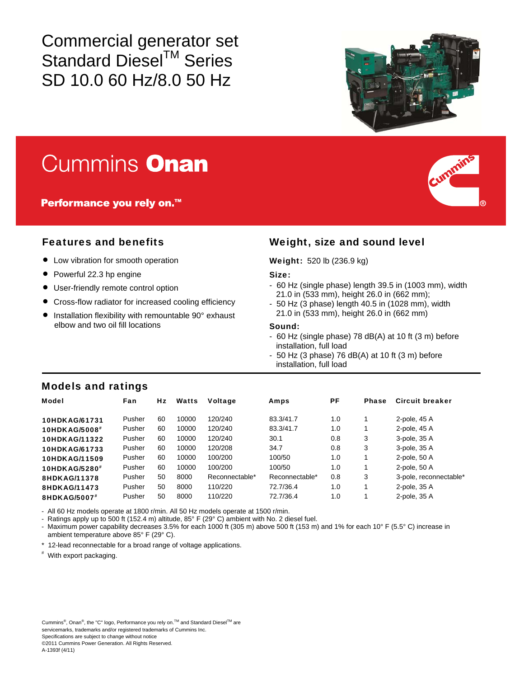Commercial generator set Standard Diesel™ Series SD 10.0 60 Hz/8.0 50 Hz



# **Cummins Onan**

**Performance you rely on.**<sup>™</sup>

- $\bullet$  Low vibration for smooth operation
- Powerful 22.3 hp engine
- User-friendly remote control option
- Cross-flow radiator for increased cooling efficiency
- Installation flexibility with remountable 90° exhaust elbow and two oil fill locations

# Features and benefits Weight, size and sound level

#### Weight: 520 lb (236.9 kg)

#### Size:

- 60 Hz (single phase) length 39.5 in (1003 mm), width 21.0 in (533 mm), height 26.0 in (662 mm);
- 50 Hz (3 phase) length 40.5 in (1028 mm), width 21.0 in (533 mm), height 26.0 in (662 mm)

#### Sound:

- 60 Hz (single phase) 78 dB(A) at 10 ft (3 m) before installation, full load
- $-50$  Hz (3 phase) 76 dB(A) at 10 ft (3 m) before installation, full load

# Models and ratings

| <b>Model</b>              | Fan    | Hz | Watts | <b>Voltage</b> | Amps           | РF  | <b>Phase</b> | Circuit breaker        |
|---------------------------|--------|----|-------|----------------|----------------|-----|--------------|------------------------|
| 10HDKAG/61731             | Pusher | 60 | 10000 | 120/240        | 83.3/41.7      | 1.0 |              | 2-pole, 45 A           |
| 10HDKAG/5008#             | Pusher | 60 | 10000 | 120/240        | 83.3/41.7      | 1.0 |              | 2-pole, 45 A           |
| 10HDKAG/11322             | Pusher | 60 | 10000 | 120/240        | 30.1           | 0.8 | 3            | 3-pole, 35 A           |
| 10HDKAG/61733             | Pusher | 60 | 10000 | 120/208        | 34.7           | 0.8 | 3            | 3-pole, 35 A           |
| 10HDKAG/11509             | Pusher | 60 | 10000 | 100/200        | 100/50         | 1.0 |              | 2-pole, 50 A           |
| 10HDKAG/5280 <sup>#</sup> | Pusher | 60 | 10000 | 100/200        | 100/50         | 1.0 |              | 2-pole, 50 A           |
| 8HDKAG/11378              | Pusher | 50 | 8000  | Reconnectable* | Reconnectable* | 0.8 | 3            | 3-pole, reconnectable* |
| 8HDKAG/11473              | Pusher | 50 | 8000  | 110/220        | 72.7/36.4      | 1.0 |              | 2-pole, 35 A           |
| 8HDKAG/5007#              | Pusher | 50 | 8000  | 110/220        | 72.7/36.4      | 1.0 |              | 2-pole, 35 A           |

- All 60 Hz models operate at 1800 r/min. All 50 Hz models operate at 1500 r/min.

- Ratings apply up to 500 ft (152.4 m) altitude, 85° F (29° C) ambient with No. 2 diesel fuel.

Maximum power capability decreases 3.5% for each 1000 ft (305 m) above 500 ft (153 m) and 1% for each 10° F (5.5° C) increase in ambient temperature above 85° F (29° C).

\* 12-lead reconnectable for a broad range of voltage applications.

# With export packaging.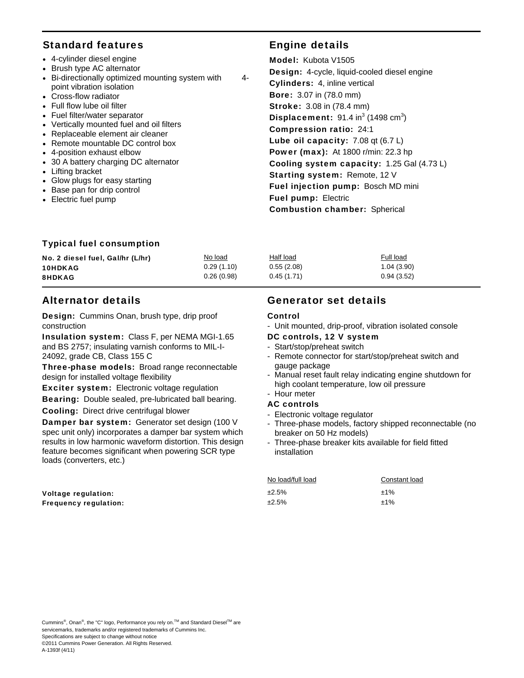# Standard features Engine details

- 4-cylinder diesel engine
- Brush type AC alternator
- Bi-directionally optimized mounting system with 4 point vibration isolation
- Cross-flow radiator
- Full flow lube oil filter
- Fuel filter/water separator
- Vertically mounted fuel and oil filters
- Replaceable element air cleaner
- Remote mountable DC control box
- 4-position exhaust elbow
- 30 A battery charging DC alternator
- Lifting bracket
- Glow plugs for easy starting
- Base pan for drip control
- Electric fuel pump

Model: Kubota V1505 Design: 4-cycle, liquid-cooled diesel engine Cylinders: 4, inline vertical Bore: 3.07 in (78.0 mm) Stroke: 3.08 in (78.4 mm) **Displacement:** 91.4 in<sup>3</sup> (1498 cm<sup>3</sup>) Compression ratio: 24:1 Lube oil capacity: 7.08 qt (6.7 L) Power (max): At 1800 r/min: 22.3 hp Cooling system capacity: 1.25 Gal (4.73 L) Starting system: Remote, 12 V Fuel injection pump: Bosch MD mini Fuel pump: Electric Combustion chamber: Spherical

### Typical fuel consumption

| No. 2 diesel fuel, Gal/hr (L/hr) | No load    | Half load  | Full load  |
|----------------------------------|------------|------------|------------|
| <b>10HDKAG</b>                   | 0.29(1.10) | 0.55(2.08) | 1.04(3.90) |
| <b>8HDKAG</b>                    | 0.26(0.98) | 0.45(1.71) | 0.94(3.52) |

# Alternator details

Design: Cummins Onan, brush type, drip proof construction

Insulation system: Class F, per NEMA MGI-1.65 and BS 2757; insulating varnish conforms to MIL-I-24092, grade CB, Class 155 C

Three-phase models: Broad range reconnectable design for installed voltage flexibility

Exciter system: Electronic voltage regulation

Bearing: Double sealed, pre-lubricated ball bearing.

Cooling: Direct drive centrifugal blower

Damper bar system: Generator set design (100 V spec unit only) incorporates a damper bar system which results in low harmonic waveform distortion. This design feature becomes significant when powering SCR type loads (converters, etc.)

Voltage regulation: Frequency regulation:

# Generator set details

### Control

- Unit mounted, drip-proof, vibration isolated console

### DC controls, 12 V system

- Start/stop/preheat switch
- Remote connector for start/stop/preheat switch and gauge package
- Manual reset fault relay indicating engine shutdown for high coolant temperature, low oil pressure

#### - Hour meter AC controls

- 
- Electronic voltage regulator
- Three-phase models, factory shipped reconnectable (no breaker on 50 Hz models)
- Three-phase breaker kits available for field fitted installation

| No load/full load | Constant load |  |  |
|-------------------|---------------|--|--|
| ±2.5%             | $±1\%$        |  |  |
| ±2.5%             | ±1%           |  |  |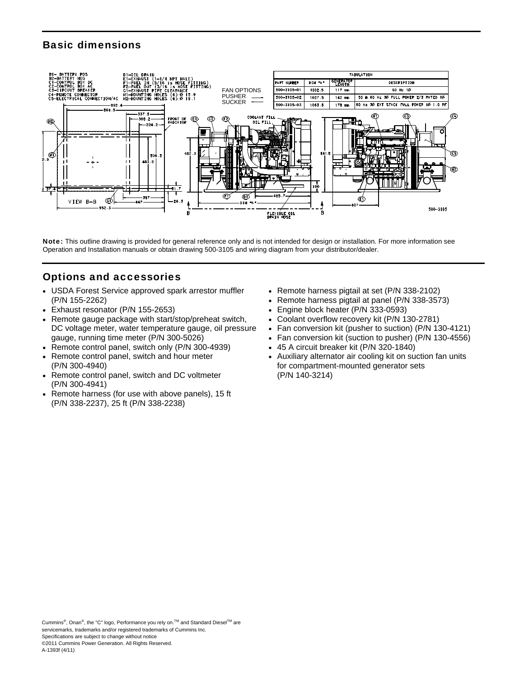# Basic dimensions



Note: This outline drawing is provided for general reference only and is not intended for design or installation. For more information see Operation and Installation manuals or obtain drawing 500-3105 and wiring diagram from your distributor/dealer.

# Options and accessories

- USDA Forest Service approved spark arrestor muffler (P/N 155-2262)
- Exhaust resonator (P/N 155-2653)
- Remote gauge package with start/stop/preheat switch, DC voltage meter, water temperature gauge, oil pressure gauge, running time meter (P/N 300-5026)
- Remote control panel, switch only (P/N 300-4939)
- Remote control panel, switch and hour meter (P/N 300-4940)
- Remote control panel, switch and DC voltmeter (P/N 300-4941)
- Remote harness (for use with above panels), 15 ft (P/N 338-2237), 25 ft (P/N 338-2238)
- Remote harness pigtail at set (P/N 338-2102)
- Remote harness pigtail at panel (P/N 338-3573)
- Engine block heater (P/N 333-0593)
- Coolant overflow recovery kit (P/N 130-2781)
- Fan conversion kit (pusher to suction) (P/N 130-4121)
- Fan conversion kit (suction to pusher) (P/N 130-4556)
- 45 A circuit breaker kit (P/N 320-1840)
- Auxiliary alternator air cooling kit on suction fan units for compartment-mounted generator sets (P/N 140-3214)